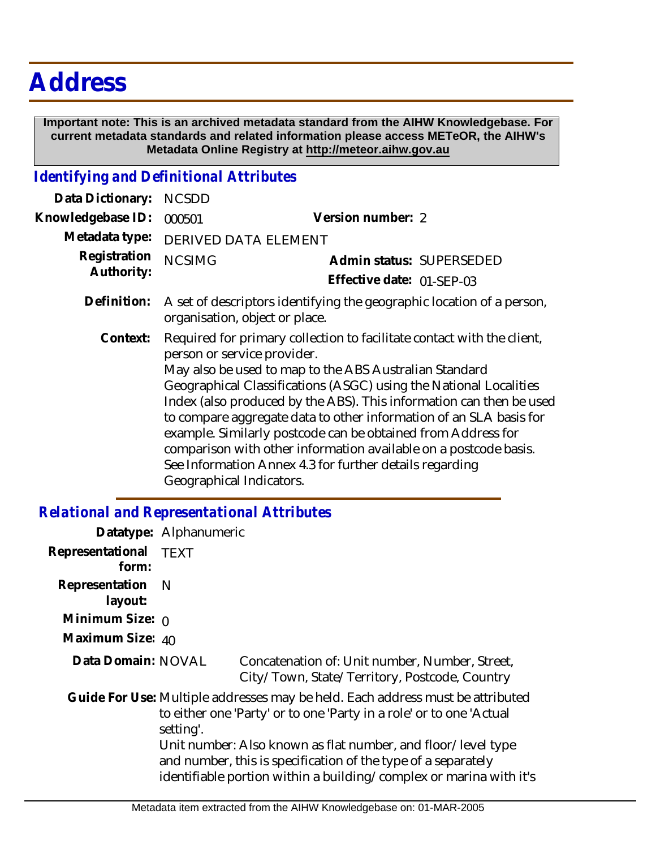## **Address**

 **Important note: This is an archived metadata standard from the AIHW Knowledgebase. For current metadata standards and related information please access METeOR, the AIHW's Metadata Online Registry at http://meteor.aihw.gov.au**

## *Identifying and Definitional Attributes*

| Data Dictionary:           | <b>NCSDD</b>                                                                                                                                                                                                                                                                                                                                                                                                                                                                                                                                                                                                 |                           |
|----------------------------|--------------------------------------------------------------------------------------------------------------------------------------------------------------------------------------------------------------------------------------------------------------------------------------------------------------------------------------------------------------------------------------------------------------------------------------------------------------------------------------------------------------------------------------------------------------------------------------------------------------|---------------------------|
| Knowledgebase ID:          | 000501                                                                                                                                                                                                                                                                                                                                                                                                                                                                                                                                                                                                       | Version number: 2         |
| Metadata type:             | <b>DERIVED DATA ELEMENT</b>                                                                                                                                                                                                                                                                                                                                                                                                                                                                                                                                                                                  |                           |
| Registration<br>Authority: | <b>NCSIMG</b>                                                                                                                                                                                                                                                                                                                                                                                                                                                                                                                                                                                                | Admin status: SUPERSEDED  |
|                            |                                                                                                                                                                                                                                                                                                                                                                                                                                                                                                                                                                                                              | Effective date: 01-SEP-03 |
| Definition:                | A set of descriptors identifying the geographic location of a person,<br>organisation, object or place.                                                                                                                                                                                                                                                                                                                                                                                                                                                                                                      |                           |
| Context:                   | Required for primary collection to facilitate contact with the client,<br>person or service provider.<br>May also be used to map to the ABS Australian Standard<br>Geographical Classifications (ASGC) using the National Localities<br>Index (also produced by the ABS). This information can then be used<br>to compare aggregate data to other information of an SLA basis for<br>example. Similarly postcode can be obtained from Address for<br>comparison with other information available on a postcode basis.<br>See Information Annex 4.3 for further details regarding<br>Geographical Indicators. |                           |

## *Relational and Representational Attributes*

| Datatype: Alphanumeric                                                                                                                                                                                                                                                                                                                                                    |                                                                                                 |
|---------------------------------------------------------------------------------------------------------------------------------------------------------------------------------------------------------------------------------------------------------------------------------------------------------------------------------------------------------------------------|-------------------------------------------------------------------------------------------------|
|                                                                                                                                                                                                                                                                                                                                                                           |                                                                                                 |
|                                                                                                                                                                                                                                                                                                                                                                           |                                                                                                 |
|                                                                                                                                                                                                                                                                                                                                                                           |                                                                                                 |
|                                                                                                                                                                                                                                                                                                                                                                           |                                                                                                 |
|                                                                                                                                                                                                                                                                                                                                                                           | Concatenation of: Unit number, Number, Street,<br>City/Town, State/Territory, Postcode, Country |
| Guide For Use: Multiple addresses may be held. Each address must be attributed<br>to either one 'Party' or to one 'Party in a role' or to one 'Actual<br>setting'.<br>Unit number: Also known as flat number, and floor/level type<br>and number, this is specification of the type of a separately<br>identifiable portion within a building/complex or marina with it's |                                                                                                 |
|                                                                                                                                                                                                                                                                                                                                                                           | <b>TEXT</b><br>- N<br>Minimum Size: $\rho$<br>Maximum Size: 40<br>Data Domain: NOVAL            |